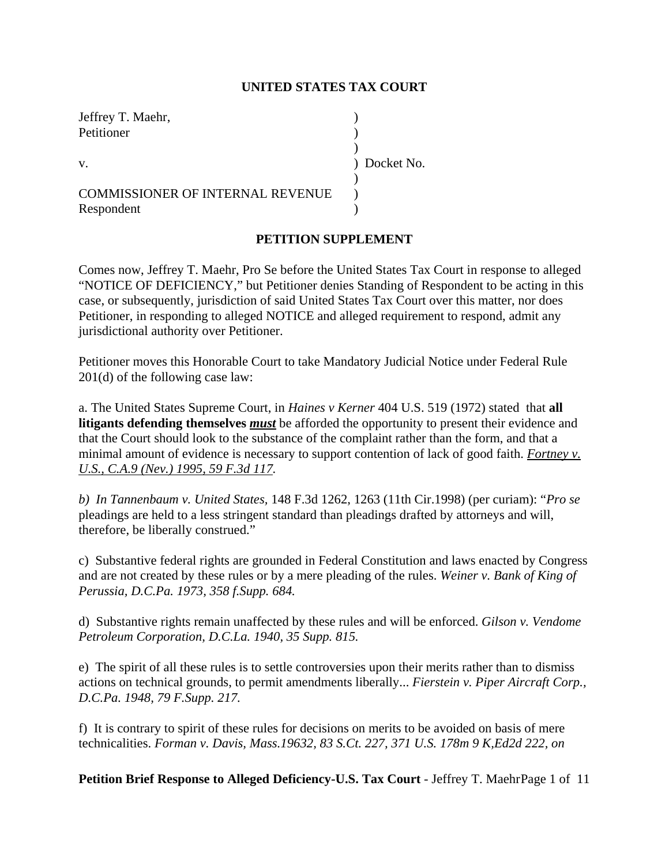#### **UNITED STATES TAX COURT**

| Jeffrey T. Maehr,                       |              |
|-----------------------------------------|--------------|
| Petitioner                              |              |
|                                         |              |
| $V_{\cdot}$                             | ) Docket No. |
|                                         |              |
| <b>COMMISSIONER OF INTERNAL REVENUE</b> |              |
| Respondent                              |              |

#### **PETITION SUPPLEMENT**

Comes now, Jeffrey T. Maehr, Pro Se before the United States Tax Court in response to alleged "NOTICE OF DEFICIENCY," but Petitioner denies Standing of Respondent to be acting in this case, or subsequently, jurisdiction of said United States Tax Court over this matter, nor does Petitioner, in responding to alleged NOTICE and alleged requirement to respond, admit any jurisdictional authority over Petitioner.

Petitioner moves this Honorable Court to take Mandatory Judicial Notice under Federal Rule 201(d) of the following case law:

a. The United States Supreme Court, in *Haines v Kerner* 404 U.S. 519 (1972) stated that **all litigants defending themselves** *must* be afforded the opportunity to present their evidence and that the Court should look to the substance of the complaint rather than the form, and that a minimal amount of evidence is necessary to support contention of lack of good faith. *Fortney v. U.S., C.A.9 (Nev.) 1995, 59 F.3d 117.* 

*b) In Tannenbaum v. United States,* 148 F.3d 1262, 1263 (11th Cir.1998) (per curiam): "*Pro se* pleadings are held to a less stringent standard than pleadings drafted by attorneys and will, therefore, be liberally construed."

c) Substantive federal rights are grounded in Federal Constitution and laws enacted by Congress and are not created by these rules or by a mere pleading of the rules. *Weiner v. Bank of King of Perussia, D.C.Pa. 1973, 358 f.Supp. 684.*

d) Substantive rights remain unaffected by these rules and will be enforced. *Gilson v. Vendome Petroleum Corporation, D.C.La. 1940, 35 Supp. 815.*

e) The spirit of all these rules is to settle controversies upon their merits rather than to dismiss actions on technical grounds, to permit amendments liberally... *Fierstein v. Piper Aircraft Corp., D.C.Pa. 1948, 79 F.Supp. 217.*

f) It is contrary to spirit of these rules for decisions on merits to be avoided on basis of mere technicalities. *Forman v. Davis, Mass.19632, 83 S.Ct. 227, 371 U.S. 178m 9 K,Ed2d 222, on*

**Petition Brief Response to Alleged Deficiency-U.S. Tax Court** - Jeffrey T. MaehrPage 1 of 11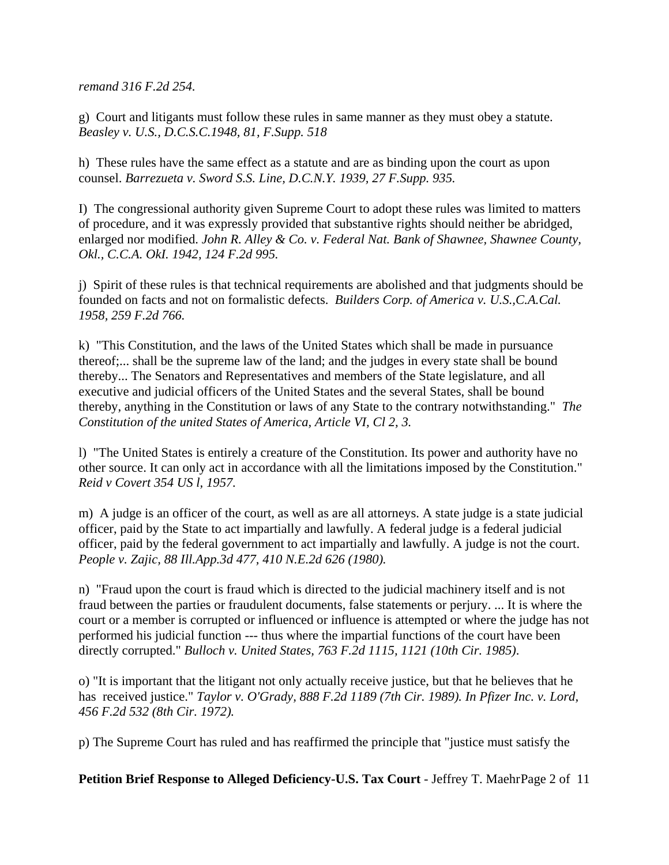*remand 316 F.2d 254.*

g) Court and litigants must follow these rules in same manner as they must obey a statute. *Beasley v. U.S., D.C.S.C.1948, 81, F.Supp. 518*

h) These rules have the same effect as a statute and are as binding upon the court as upon counsel. *Barrezueta v. Sword S.S. Line, D.C.N.Y. 1939, 27 F.Supp. 935.*

I) The congressional authority given Supreme Court to adopt these rules was limited to matters of procedure, and it was expressly provided that substantive rights should neither be abridged, enlarged nor modified. *John R. Alley & Co. v. Federal Nat. Bank of Shawnee, Shawnee County, Okl., C.C.A. OkI. 1942, 124 F.2d 995.*

j) Spirit of these rules is that technical requirements are abolished and that judgments should be founded on facts and not on formalistic defects. *Builders Corp. of America v. U.S.,C.A.Cal. 1958, 259 F.2d 766.*

k) "This Constitution, and the laws of the United States which shall be made in pursuance thereof;... shall be the supreme law of the land; and the judges in every state shall be bound thereby... The Senators and Representatives and members of the State legislature, and all executive and judicial officers of the United States and the several States, shall be bound thereby, anything in the Constitution or laws of any State to the contrary notwithstanding." *The Constitution of the united States of America, Article VI, Cl 2, 3.*

l) "The United States is entirely a creature of the Constitution. Its power and authority have no other source. It can only act in accordance with all the limitations imposed by the Constitution." *Reid v Covert 354 US l, 1957.*

m) A judge is an officer of the court, as well as are all attorneys. A state judge is a state judicial officer, paid by the State to act impartially and lawfully. A federal judge is a federal judicial officer, paid by the federal government to act impartially and lawfully. A judge is not the court. *People v. Zajic, 88 Ill.App.3d 477, 410 N.E.2d 626 (1980).* 

n) "Fraud upon the court is fraud which is directed to the judicial machinery itself and is not fraud between the parties or fraudulent documents, false statements or perjury. ... It is where the court or a member is corrupted or influenced or influence is attempted or where the judge has not performed his judicial function --- thus where the impartial functions of the court have been directly corrupted." *Bulloch v. United States, 763 F.2d 1115, 1121 (10th Cir. 1985)*.

o) "It is important that the litigant not only actually receive justice, but that he believes that he has received justice." *Taylor v. O'Grady, 888 F.2d 1189 (7th Cir. 1989). In Pfizer Inc. v. Lord, 456 F.2d 532 (8th Cir. 1972).*

p) The Supreme Court has ruled and has reaffirmed the principle that "justice must satisfy the

**Petition Brief Response to Alleged Deficiency-U.S. Tax Court** - Jeffrey T. MaehrPage 2 of 11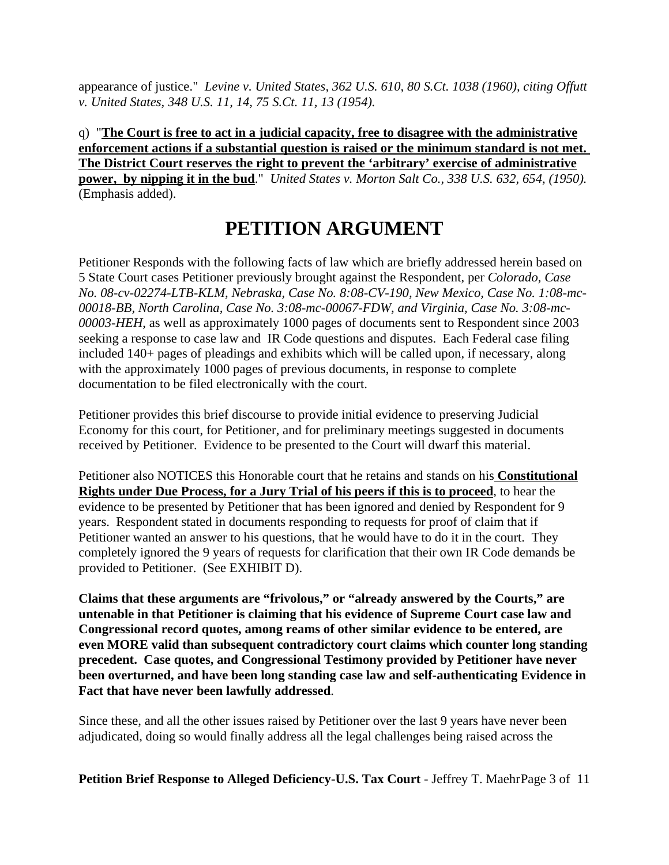appearance of justice." *Levine v. United States, 362 U.S. 610, 80 S.Ct. 1038 (1960), citing Offutt v. United States, 348 U.S. 11, 14, 75 S.Ct. 11, 13 (1954).*

q) "**The Court is free to act in a judicial capacity, free to disagree with the administrative enforcement actions if a substantial question is raised or the minimum standard is not met. The District Court reserves the right to prevent the 'arbitrary' exercise of administrative power, by nipping it in the bud**." *United States v. Morton Salt Co., 338 U.S. 632, 654, (1950).* (Emphasis added).

# **PETITION ARGUMENT**

Petitioner Responds with the following facts of law which are briefly addressed herein based on 5 State Court cases Petitioner previously brought against the Respondent, per *Colorado, Case No. 08-cv-02274-LTB-KLM, Nebraska, Case No. 8:08-CV-190, New Mexico, Case No. 1:08-mc-00018-BB, North Carolina, Case No. 3:08-mc-00067-FDW, and Virginia, Case No. 3:08-mc-00003-HEH*, as well as approximately 1000 pages of documents sent to Respondent since 2003 seeking a response to case law and IR Code questions and disputes. Each Federal case filing included 140+ pages of pleadings and exhibits which will be called upon, if necessary, along with the approximately 1000 pages of previous documents, in response to complete documentation to be filed electronically with the court.

Petitioner provides this brief discourse to provide initial evidence to preserving Judicial Economy for this court, for Petitioner, and for preliminary meetings suggested in documents received by Petitioner. Evidence to be presented to the Court will dwarf this material.

Petitioner also NOTICES this Honorable court that he retains and stands on his **Constitutional Rights under Due Process, for a Jury Trial of his peers if this is to proceed**, to hear the evidence to be presented by Petitioner that has been ignored and denied by Respondent for 9 years. Respondent stated in documents responding to requests for proof of claim that if Petitioner wanted an answer to his questions, that he would have to do it in the court. They completely ignored the 9 years of requests for clarification that their own IR Code demands be provided to Petitioner. (See EXHIBIT D).

**Claims that these arguments are "frivolous," or "already answered by the Courts," are untenable in that Petitioner is claiming that his evidence of Supreme Court case law and Congressional record quotes, among reams of other similar evidence to be entered, are even MORE valid than subsequent contradictory court claims which counter long standing precedent. Case quotes, and Congressional Testimony provided by Petitioner have never been overturned, and have been long standing case law and self-authenticating Evidence in Fact that have never been lawfully addressed**.

Since these, and all the other issues raised by Petitioner over the last 9 years have never been adjudicated, doing so would finally address all the legal challenges being raised across the

**Petition Brief Response to Alleged Deficiency-U.S. Tax Court** - Jeffrey T. MaehrPage 3 of 11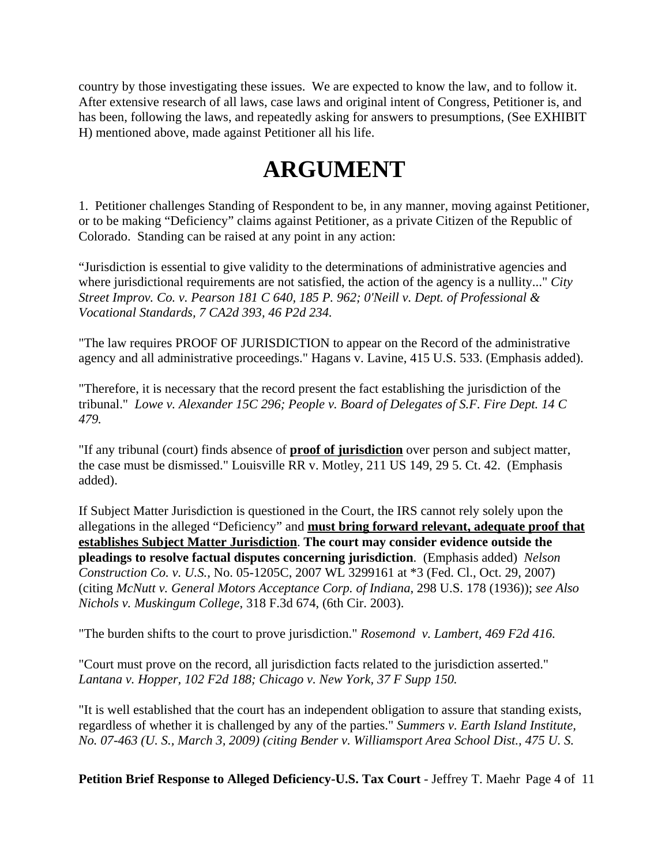country by those investigating these issues. We are expected to know the law, and to follow it. After extensive research of all laws, case laws and original intent of Congress, Petitioner is, and has been, following the laws, and repeatedly asking for answers to presumptions, (See EXHIBIT H) mentioned above, made against Petitioner all his life.

# **ARGUMENT**

1. Petitioner challenges Standing of Respondent to be, in any manner, moving against Petitioner, or to be making "Deficiency" claims against Petitioner, as a private Citizen of the Republic of Colorado. Standing can be raised at any point in any action:

"Jurisdiction is essential to give validity to the determinations of administrative agencies and where jurisdictional requirements are not satisfied, the action of the agency is a nullity..." *City Street Improv. Co. v. Pearson 181 C 640, 185 P. 962; 0'Neill v. Dept. of Professional & Vocational Standards, 7 CA2d 393, 46 P2d 234.*

"The law requires PROOF OF JURISDICTION to appear on the Record of the administrative agency and all administrative proceedings." Hagans v. Lavine, 415 U.S. 533. (Emphasis added).

"Therefore, it is necessary that the record present the fact establishing the jurisdiction of the tribunal." *Lowe v. Alexander 15C 296; People v. Board of Delegates of S.F. Fire Dept. 14 C 479.*

"If any tribunal (court) finds absence of **proof of jurisdiction** over person and subject matter, the case must be dismissed." Louisville RR v. Motley, 211 US 149, 29 5. Ct. 42. (Emphasis added).

If Subject Matter Jurisdiction is questioned in the Court, the IRS cannot rely solely upon the allegations in the alleged "Deficiency" and **must bring forward relevant, adequate proof that establishes Subject Matter Jurisdiction**. **The court may consider evidence outside the pleadings to resolve factual disputes concerning jurisdiction**. (Emphasis added) *Nelson Construction Co. v. U.S.*, No. 05-1205C, 2007 WL 3299161 at \*3 (Fed. Cl., Oct. 29, 2007) (citing *McNutt v. General Motors Acceptance Corp. of Indiana*, 298 U.S. 178 (1936)); *see Also Nichols v. Muskingum College*, 318 F.3d 674, (6th Cir. 2003).

"The burden shifts to the court to prove jurisdiction." *Rosemond v. Lambert, 469 F2d 416.*

"Court must prove on the record, all jurisdiction facts related to the jurisdiction asserted." *Lantana v. Hopper, 102 F2d 188; Chicago v. New York, 37 F Supp 150.*

"It is well established that the court has an independent obligation to assure that standing exists, regardless of whether it is challenged by any of the parties." *Summers v. Earth Island Institute, No. 07-463 (U. S., March 3, 2009) (citing Bender v. Williamsport Area School Dist., 475 U. S.*

**Petition Brief Response to Alleged Deficiency-U.S. Tax Court** - Jeffrey T. Maehr Page 4 of 11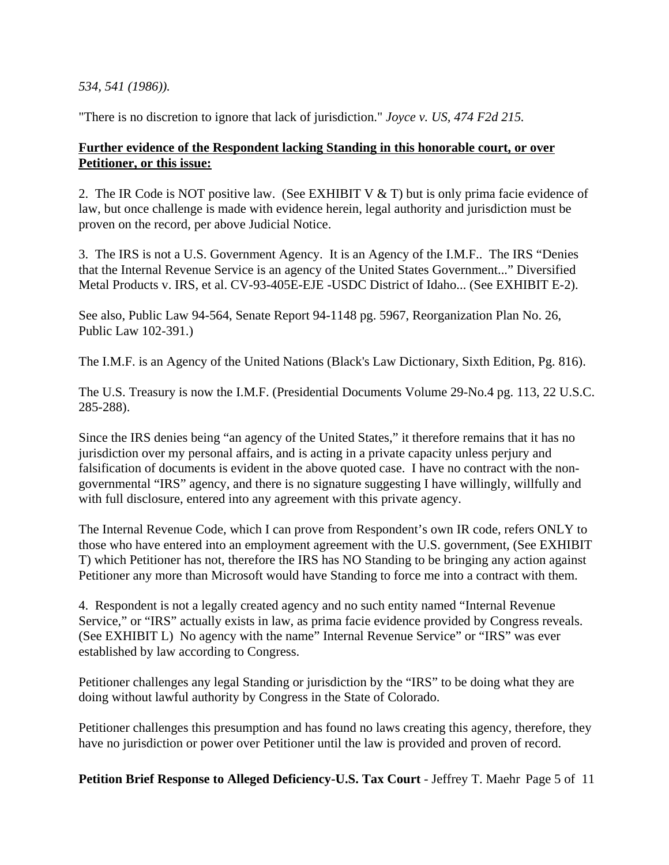#### *534, 541 (1986)).*

"There is no discretion to ignore that lack of jurisdiction." *Joyce v. US, 474 F2d 215.*

#### **Further evidence of the Respondent lacking Standing in this honorable court, or over Petitioner, or this issue:**

2. The IR Code is NOT positive law. (See EXHIBIT V & T) but is only prima facie evidence of law, but once challenge is made with evidence herein, legal authority and jurisdiction must be proven on the record, per above Judicial Notice.

3. The IRS is not a U.S. Government Agency. It is an Agency of the I.M.F.. The IRS "Denies that the Internal Revenue Service is an agency of the United States Government..." Diversified Metal Products v. IRS, et al. CV-93-405E-EJE -USDC District of Idaho... (See EXHIBIT E-2).

See also, Public Law 94-564, Senate Report 94-1148 pg. 5967, Reorganization Plan No. 26, Public Law 102-391.)

The I.M.F. is an Agency of the United Nations (Black's Law Dictionary, Sixth Edition, Pg. 816).

The U.S. Treasury is now the I.M.F. (Presidential Documents Volume 29-No.4 pg. 113, 22 U.S.C. 285-288).

Since the IRS denies being "an agency of the United States," it therefore remains that it has no jurisdiction over my personal affairs, and is acting in a private capacity unless perjury and falsification of documents is evident in the above quoted case. I have no contract with the nongovernmental "IRS" agency, and there is no signature suggesting I have willingly, willfully and with full disclosure, entered into any agreement with this private agency.

The Internal Revenue Code, which I can prove from Respondent's own IR code, refers ONLY to those who have entered into an employment agreement with the U.S. government, (See EXHIBIT T) which Petitioner has not, therefore the IRS has NO Standing to be bringing any action against Petitioner any more than Microsoft would have Standing to force me into a contract with them.

4. Respondent is not a legally created agency and no such entity named "Internal Revenue Service," or "IRS" actually exists in law, as prima facie evidence provided by Congress reveals. (See EXHIBIT L) No agency with the name" Internal Revenue Service" or "IRS" was ever established by law according to Congress.

Petitioner challenges any legal Standing or jurisdiction by the "IRS" to be doing what they are doing without lawful authority by Congress in the State of Colorado.

Petitioner challenges this presumption and has found no laws creating this agency, therefore, they have no jurisdiction or power over Petitioner until the law is provided and proven of record.

**Petition Brief Response to Alleged Deficiency-U.S. Tax Court** - Jeffrey T. Maehr Page 5 of 11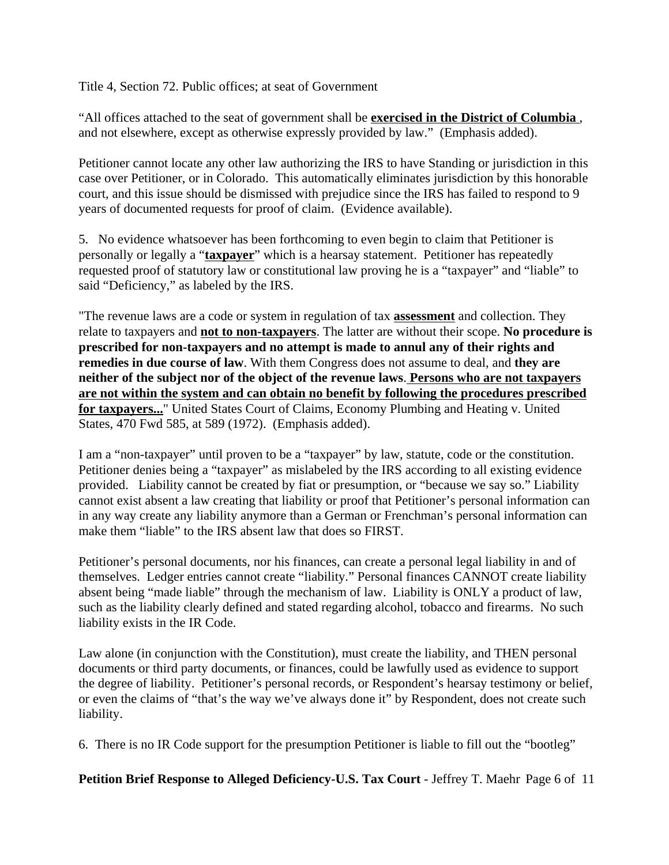Title 4, Section 72. Public offices; at seat of Government

"All offices attached to the seat of government shall be **exercised in the District of Columbia** , and not elsewhere, except as otherwise expressly provided by law." (Emphasis added).

Petitioner cannot locate any other law authorizing the IRS to have Standing or jurisdiction in this case over Petitioner, or in Colorado. This automatically eliminates jurisdiction by this honorable court, and this issue should be dismissed with prejudice since the IRS has failed to respond to 9 years of documented requests for proof of claim. (Evidence available).

5. No evidence whatsoever has been forthcoming to even begin to claim that Petitioner is personally or legally a "**taxpayer**" which is a hearsay statement. Petitioner has repeatedly requested proof of statutory law or constitutional law proving he is a "taxpayer" and "liable" to said "Deficiency," as labeled by the IRS.

"The revenue laws are a code or system in regulation of tax **assessment** and collection. They relate to taxpayers and **not to non-taxpayers**. The latter are without their scope. **No procedure is prescribed for non-taxpayers and no attempt is made to annul any of their rights and remedies in due course of law**. With them Congress does not assume to deal, and **they are neither of the subject nor of the object of the revenue laws**. **Persons who are not taxpayers are not within the system and can obtain no benefit by following the procedures prescribed for taxpayers...**" United States Court of Claims, Economy Plumbing and Heating v. United States, 470 Fwd 585, at 589 (1972). (Emphasis added).

I am a "non-taxpayer" until proven to be a "taxpayer" by law, statute, code or the constitution. Petitioner denies being a "taxpayer" as mislabeled by the IRS according to all existing evidence provided. Liability cannot be created by fiat or presumption, or "because we say so." Liability cannot exist absent a law creating that liability or proof that Petitioner's personal information can in any way create any liability anymore than a German or Frenchman's personal information can make them "liable" to the IRS absent law that does so FIRST.

Petitioner's personal documents, nor his finances, can create a personal legal liability in and of themselves. Ledger entries cannot create "liability." Personal finances CANNOT create liability absent being "made liable" through the mechanism of law. Liability is ONLY a product of law, such as the liability clearly defined and stated regarding alcohol, tobacco and firearms. No such liability exists in the IR Code.

Law alone (in conjunction with the Constitution), must create the liability, and THEN personal documents or third party documents, or finances, could be lawfully used as evidence to support the degree of liability. Petitioner's personal records, or Respondent's hearsay testimony or belief, or even the claims of "that's the way we've always done it" by Respondent, does not create such liability.

6. There is no IR Code support for the presumption Petitioner is liable to fill out the "bootleg"

**Petition Brief Response to Alleged Deficiency-U.S. Tax Court** - Jeffrey T. Maehr Page 6 of 11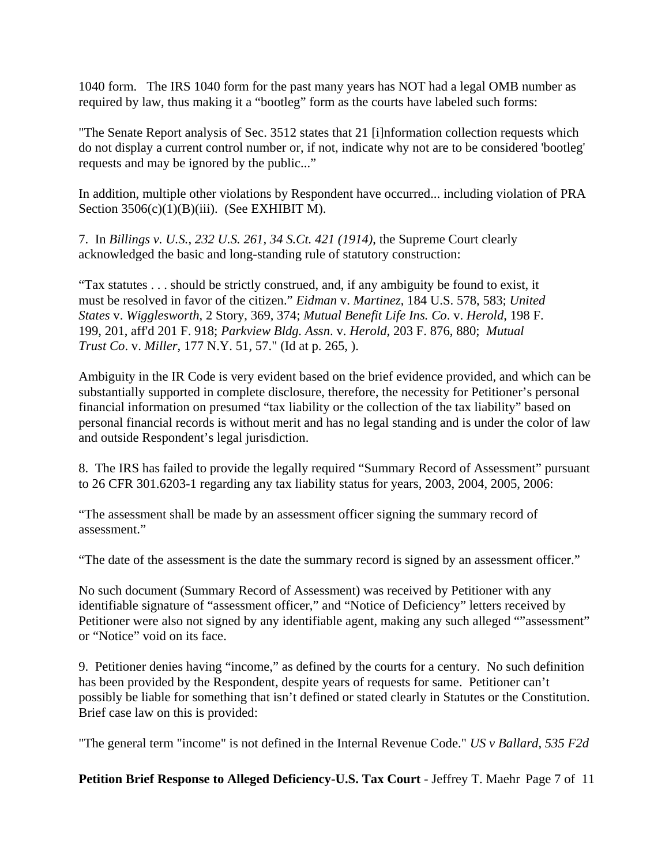1040 form. The IRS 1040 form for the past many years has NOT had a legal OMB number as required by law, thus making it a "bootleg" form as the courts have labeled such forms:

"The Senate Report analysis of Sec. 3512 states that 21 [i]nformation collection requests which do not display a current control number or, if not, indicate why not are to be considered 'bootleg' requests and may be ignored by the public..."

In addition, multiple other violations by Respondent have occurred... including violation of PRA Section  $3506(c)(1)(B)(iii)$ . (See EXHIBIT M).

7. In *Billings v. U.S.*, *232 U.S. 261, 34 S.Ct. 421 (1914)*, the Supreme Court clearly acknowledged the basic and long-standing rule of statutory construction:

"Tax statutes . . . should be strictly construed, and, if any ambiguity be found to exist, it must be resolved in favor of the citizen." *Eidman* v. *Martinez*, 184 U.S. 578, 583; *United States* v. *Wigglesworth*, 2 Story, 369, 374; *Mutual Benefit Life Ins. Co*. v. *Herold*, 198 F. 199, 201, aff'd 201 F. 918; *Parkview Bldg. Assn*. v. *Herold*, 203 F. 876, 880; *Mutual Trust Co*. v. *Miller*, 177 N.Y. 51, 57." (Id at p. 265, ).

Ambiguity in the IR Code is very evident based on the brief evidence provided, and which can be substantially supported in complete disclosure, therefore, the necessity for Petitioner's personal financial information on presumed "tax liability or the collection of the tax liability" based on personal financial records is without merit and has no legal standing and is under the color of law and outside Respondent's legal jurisdiction.

8. The IRS has failed to provide the legally required "Summary Record of Assessment" pursuant to 26 CFR 301.6203-1 regarding any tax liability status for years, 2003, 2004, 2005, 2006:

"The assessment shall be made by an assessment officer signing the summary record of assessment."

"The date of the assessment is the date the summary record is signed by an assessment officer."

No such document (Summary Record of Assessment) was received by Petitioner with any identifiable signature of "assessment officer," and "Notice of Deficiency" letters received by Petitioner were also not signed by any identifiable agent, making any such alleged ""assessment" or "Notice" void on its face.

9. Petitioner denies having "income," as defined by the courts for a century. No such definition has been provided by the Respondent, despite years of requests for same. Petitioner can't possibly be liable for something that isn't defined or stated clearly in Statutes or the Constitution. Brief case law on this is provided:

"The general term "income" is not defined in the Internal Revenue Code." *US v Ballard, 535 F2d*

**Petition Brief Response to Alleged Deficiency-U.S. Tax Court** - Jeffrey T. Maehr Page 7 of 11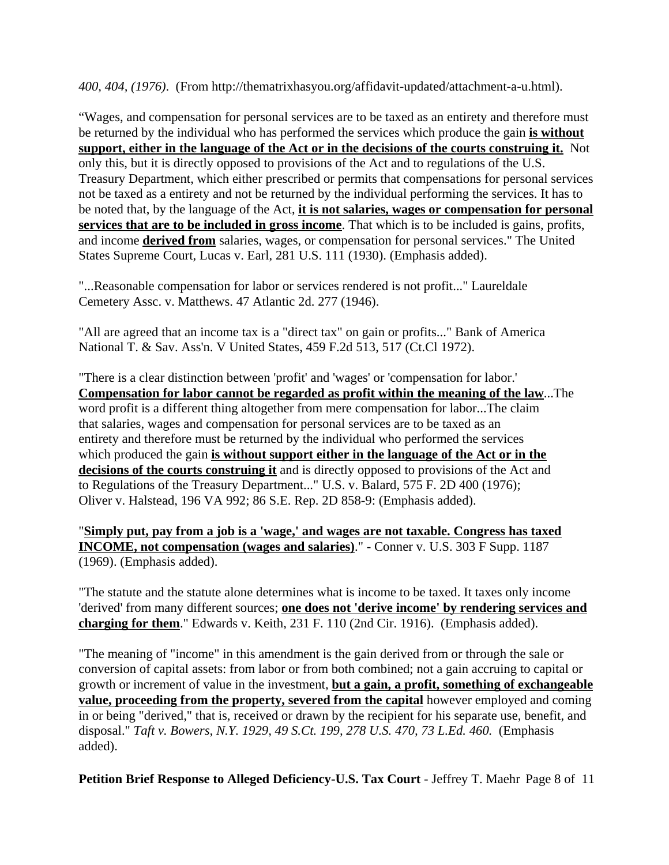*400, 404, (1976)*. (From http://thematrixhasyou.org/affidavit-updated/attachment-a-u.html).

"Wages, and compensation for personal services are to be taxed as an entirety and therefore must be returned by the individual who has performed the services which produce the gain **is without support, either in the language of the Act or in the decisions of the courts construing it.** Not only this, but it is directly opposed to provisions of the Act and to regulations of the U.S. Treasury Department, which either prescribed or permits that compensations for personal services not be taxed as a entirety and not be returned by the individual performing the services. It has to be noted that, by the language of the Act, **it is not salaries, wages or compensation for personal services that are to be included in gross income**. That which is to be included is gains, profits, and income **derived from** salaries, wages, or compensation for personal services." The United States Supreme Court, Lucas v. Earl, 281 U.S. 111 (1930). (Emphasis added).

"...Reasonable compensation for labor or services rendered is not profit..." Laureldale Cemetery Assc. v. Matthews. 47 Atlantic 2d. 277 (1946).

"All are agreed that an income tax is a "direct tax" on gain or profits..." Bank of America National T. & Sav. Ass'n. V United States, 459 F.2d 513, 517 (Ct.Cl 1972).

"There is a clear distinction between 'profit' and 'wages' or 'compensation for labor.' **Compensation for labor cannot be regarded as profit within the meaning of the law**...The word profit is a different thing altogether from mere compensation for labor...The claim that salaries, wages and compensation for personal services are to be taxed as an entirety and therefore must be returned by the individual who performed the services which produced the gain **is without support either in the language of the Act or in the decisions of the courts construing it** and is directly opposed to provisions of the Act and to Regulations of the Treasury Department..." U.S. v. Balard, 575 F. 2D 400 (1976); Oliver v. Halstead, 196 VA 992; 86 S.E. Rep. 2D 858-9: (Emphasis added).

"**Simply put, pay from a job is a 'wage,' and wages are not taxable. Congress has taxed INCOME, not compensation (wages and salaries)**." - Conner v. U.S. 303 F Supp. 1187 (1969). (Emphasis added).

"The statute and the statute alone determines what is income to be taxed. It taxes only income 'derived' from many different sources; **one does not 'derive income' by rendering services and charging for them**." Edwards v. Keith, 231 F. 110 (2nd Cir. 1916). (Emphasis added).

"The meaning of "income" in this amendment is the gain derived from or through the sale or conversion of capital assets: from labor or from both combined; not a gain accruing to capital or growth or increment of value in the investment, **but a gain, a profit, something of exchangeable value, proceeding from the property, severed from the capital** however employed and coming in or being "derived," that is, received or drawn by the recipient for his separate use, benefit, and disposal." *Taft v. Bowers, N.Y. 1929, 49 S.Ct. 199, 278 U.S. 470, 73 L.Ed. 460.* (Emphasis added).

**Petition Brief Response to Alleged Deficiency-U.S. Tax Court** - Jeffrey T. Maehr Page 8 of 11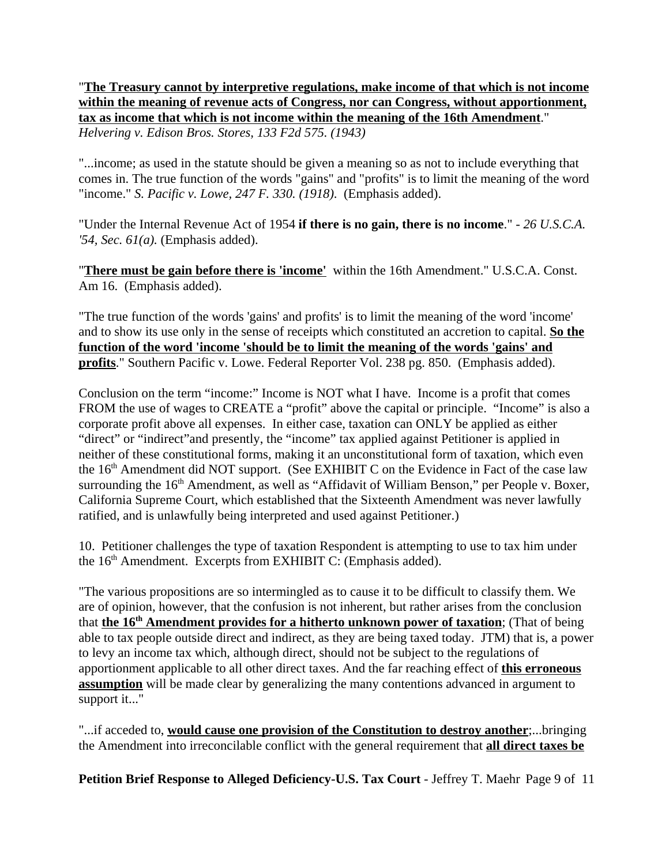"**The Treasury cannot by interpretive regulations, make income of that which is not income within the meaning of revenue acts of Congress, nor can Congress, without apportionment, tax as income that which is not income within the meaning of the 16th Amendment**." *Helvering v. Edison Bros. Stores, 133 F2d 575. (1943)*

"...income; as used in the statute should be given a meaning so as not to include everything that comes in. The true function of the words "gains" and "profits" is to limit the meaning of the word "income." *S. Pacific v. Lowe, 247 F. 330. (1918)*. (Emphasis added).

"Under the Internal Revenue Act of 1954 **if there is no gain, there is no income**." - *26 U.S.C.A. '54, Sec. 61(a).* (Emphasis added).

"**There must be gain before there is 'income'** within the 16th Amendment." U.S.C.A. Const. Am 16. (Emphasis added).

"The true function of the words 'gains' and profits' is to limit the meaning of the word 'income' and to show its use only in the sense of receipts which constituted an accretion to capital. **So the function of the word 'income 'should be to limit the meaning of the words 'gains' and profits**." Southern Pacific v. Lowe. Federal Reporter Vol. 238 pg. 850. (Emphasis added).

Conclusion on the term "income:" Income is NOT what I have. Income is a profit that comes FROM the use of wages to CREATE a "profit" above the capital or principle. "Income" is also a corporate profit above all expenses. In either case, taxation can ONLY be applied as either "direct" or "indirect"and presently, the "income" tax applied against Petitioner is applied in neither of these constitutional forms, making it an unconstitutional form of taxation, which even the 16<sup>th</sup> Amendment did NOT support. (See EXHIBIT C on the Evidence in Fact of the case law surrounding the 16<sup>th</sup> Amendment, as well as "Affidavit of William Benson," per People v. Boxer, California Supreme Court, which established that the Sixteenth Amendment was never lawfully ratified, and is unlawfully being interpreted and used against Petitioner.)

10. Petitioner challenges the type of taxation Respondent is attempting to use to tax him under the 16<sup>th</sup> Amendment. Excerpts from EXHIBIT C: (Emphasis added).

"The various propositions are so intermingled as to cause it to be difficult to classify them. We are of opinion, however, that the confusion is not inherent, but rather arises from the conclusion that **the 16<sup>th</sup> Amendment provides for a hitherto unknown power of taxation**; (That of being able to tax people outside direct and indirect, as they are being taxed today. JTM) that is, a power to levy an income tax which, although direct, should not be subject to the regulations of apportionment applicable to all other direct taxes. And the far reaching effect of **this erroneous assumption** will be made clear by generalizing the many contentions advanced in argument to support it..."

"...if acceded to, **would cause one provision of the Constitution to destroy another**;...bringing the Amendment into irreconcilable conflict with the general requirement that **all direct taxes be**

**Petition Brief Response to Alleged Deficiency-U.S. Tax Court** - Jeffrey T. Maehr Page 9 of 11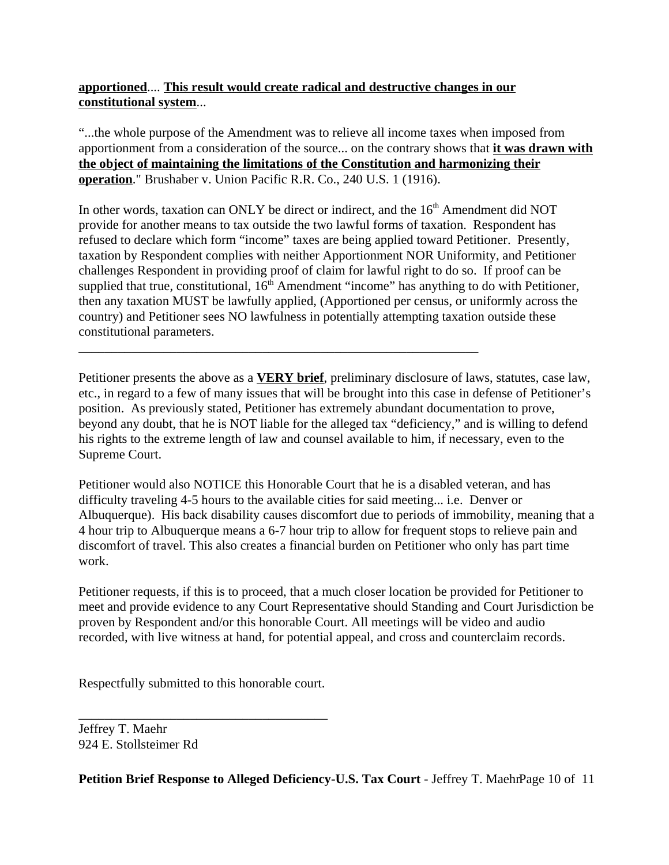## **apportioned**.... **This result would create radical and destructive changes in our constitutional system**...

"...the whole purpose of the Amendment was to relieve all income taxes when imposed from apportionment from a consideration of the source... on the contrary shows that **it was drawn with the object of maintaining the limitations of the Constitution and harmonizing their operation**." Brushaber v. Union Pacific R.R. Co., 240 U.S. 1 (1916).

In other words, taxation can ONLY be direct or indirect, and the  $16<sup>th</sup>$  Amendment did NOT provide for another means to tax outside the two lawful forms of taxation. Respondent has refused to declare which form "income" taxes are being applied toward Petitioner. Presently, taxation by Respondent complies with neither Apportionment NOR Uniformity, and Petitioner challenges Respondent in providing proof of claim for lawful right to do so. If proof can be supplied that true, constitutional,  $16<sup>th</sup>$  Amendment "income" has anything to do with Petitioner, then any taxation MUST be lawfully applied, (Apportioned per census, or uniformly across the country) and Petitioner sees NO lawfulness in potentially attempting taxation outside these constitutional parameters.

\_\_\_\_\_\_\_\_\_\_\_\_\_\_\_\_\_\_\_\_\_\_\_\_\_\_\_\_\_\_\_\_\_\_\_\_\_\_\_\_\_\_\_\_\_\_\_\_\_\_\_\_\_\_\_\_\_\_\_\_\_

Petitioner presents the above as a **VERY brief**, preliminary disclosure of laws, statutes, case law, etc., in regard to a few of many issues that will be brought into this case in defense of Petitioner's position. As previously stated, Petitioner has extremely abundant documentation to prove, beyond any doubt, that he is NOT liable for the alleged tax "deficiency," and is willing to defend his rights to the extreme length of law and counsel available to him, if necessary, even to the Supreme Court.

Petitioner would also NOTICE this Honorable Court that he is a disabled veteran, and has difficulty traveling 4-5 hours to the available cities for said meeting... i.e. Denver or Albuquerque). His back disability causes discomfort due to periods of immobility, meaning that a 4 hour trip to Albuquerque means a 6-7 hour trip to allow for frequent stops to relieve pain and discomfort of travel. This also creates a financial burden on Petitioner who only has part time work.

Petitioner requests, if this is to proceed, that a much closer location be provided for Petitioner to meet and provide evidence to any Court Representative should Standing and Court Jurisdiction be proven by Respondent and/or this honorable Court. All meetings will be video and audio recorded, with live witness at hand, for potential appeal, and cross and counterclaim records.

Respectfully submitted to this honorable court.

\_\_\_\_\_\_\_\_\_\_\_\_\_\_\_\_\_\_\_\_\_\_\_\_\_\_\_\_\_\_\_\_\_\_\_\_\_\_

Jeffrey T. Maehr 924 E. Stollsteimer Rd

**Petition Brief Response to Alleged Deficiency-U.S. Tax Court** - Jeffrey T. MaehrPage 10 of 11